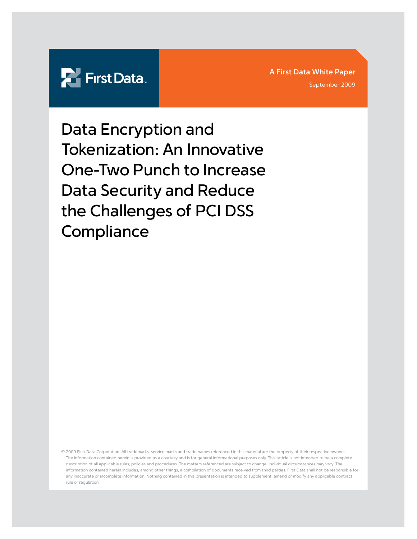

**A First Data White Paper**

September 2009

Data Encryption and Tokenization: An Innovative One-Two Punch to Increase Data Security and Reduce the Challenges of PCI DSS **Compliance** 

© 2009 First Data Corporation. All trademarks, service marks and trade names referenced in this material are the property of their respective owners. The information contained herein is provided as a courtesy and is for general informational purposes only. This article is not intended to be a complete description of all applicable rules, policies and procedures. The matters referenced are subject to change. Individual circumstances may vary. The information contained herein includes, among other things, a compilation of documents received from third parties. First Data shall not be responsible for any inaccurate or incomplete information. Nothing contained in this presentation is intended to supplement, amend or modify any applicable contract, rule or regulation.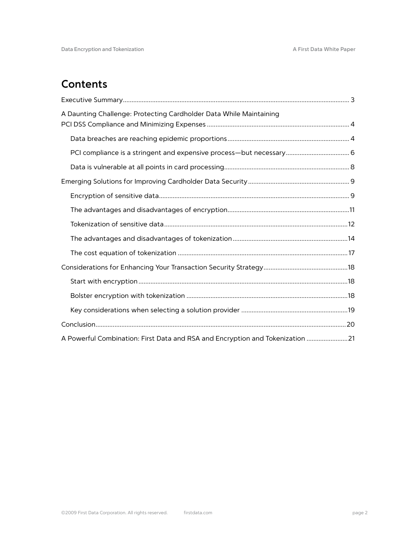# **Contents**

| A Daunting Challenge: Protecting Cardholder Data While Maintaining             |
|--------------------------------------------------------------------------------|
|                                                                                |
|                                                                                |
|                                                                                |
|                                                                                |
|                                                                                |
|                                                                                |
|                                                                                |
|                                                                                |
|                                                                                |
|                                                                                |
|                                                                                |
|                                                                                |
|                                                                                |
|                                                                                |
| A Powerful Combination: First Data and RSA and Encryption and Tokenization  21 |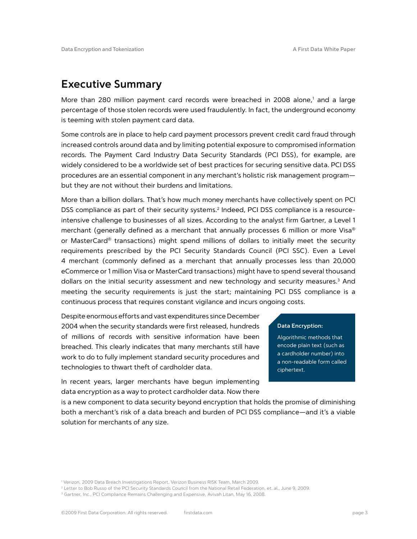## **Executive Summary**

More than 280 million payment card records were breached in 2008 alone,<sup>1</sup> and a large percentage of those stolen records were used fraudulently. In fact, the underground economy is teeming with stolen payment card data.

Some controls are in place to help card payment processors prevent credit card fraud through increased controls around data and by limiting potential exposure to compromised information records. The Payment Card Industry Data Security Standards (PCI DSS), for example, are widely considered to be a worldwide set of best practices for securing sensitive data. PCI DSS procedures are an essential component in any merchant's holistic risk management program but they are not without their burdens and limitations.

More than a billion dollars. That's how much money merchants have collectively spent on PCI DSS compliance as part of their security systems.<sup>2</sup> Indeed, PCI DSS compliance is a resourceintensive challenge to businesses of all sizes. According to the analyst firm Gartner, a Level 1 merchant (generally defined as a merchant that annually processes 6 million or more Visa® or MasterCard® transactions) might spend millions of dollars to initially meet the security requirements prescribed by the PCI Security Standards Council (PCI SSC). Even a Level 4 merchant (commonly defined as a merchant that annually processes less than 20,000 eCommerce or 1 million Visa or MasterCard transactions) might have to spend several thousand dollars on the initial security assessment and new technology and security measures.<sup>3</sup> And meeting the security requirements is just the start; maintaining PCI DSS compliance is a continuous process that requires constant vigilance and incurs ongoing costs.

Despite enormous efforts and vast expenditures since December 2004 when the security standards were first released, hundreds of millions of records with sensitive information have been breached. This clearly indicates that many merchants still have work to do to fully implement standard security procedures and technologies to thwart theft of cardholder data.

In recent years, larger merchants have begun implementing data encryption as a way to protect cardholder data. Now there

## **Data Encryption:**

Algorithmic methods that encode plain text (such as a cardholder number) into a non-readable form called ciphertext.

is a new component to data security beyond encryption that holds the promise of diminishing both a merchant's risk of a data breach and burden of PCI DSS compliance—and it's a viable solution for merchants of any size.

<sup>1</sup> Verizon, 2009 Data Breach Investigations Report, Verizon Business RISK Team, March 2009.

<sup>2</sup> Letter to Bob Russo of the PCI Security Standards Council from the National Retail Federation, et. al., June 9, 2009.

<sup>&</sup>lt;sup>3</sup> Gartner, Inc., PCI Compliance Remains Challenging and Expensive, Avivah Litan, May 16, 2008.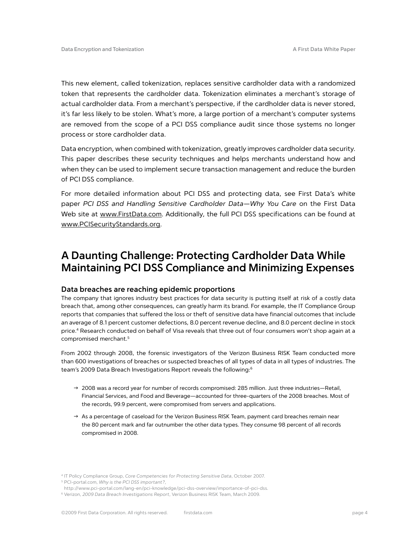This new element, called tokenization, replaces sensitive cardholder data with a randomized token that represents the cardholder data. Tokenization eliminates a merchant's storage of actual cardholder data. From a merchant's perspective, if the cardholder data is never stored, it's far less likely to be stolen. What's more, a large portion of a merchant's computer systems are removed from the scope of a PCI DSS compliance audit since those systems no longer process or store cardholder data.

Data encryption, when combined with tokenization, greatly improves cardholder data security. This paper describes these security techniques and helps merchants understand how and when they can be used to implement secure transaction management and reduce the burden of PCI DSS compliance.

For more detailed information about PCI DSS and protecting data, see First Data's white paper *PCI DSS and Handling Sensitive Cardholder Data—Why You Care* on the First Data Web site at www.FirstData.com. Additionally, the full PCI DSS specifications can be found at www.PCISecurityStandards.org.

## **A Daunting Challenge: Protecting Cardholder Data While Maintaining PCI DSS Compliance and Minimizing Expenses**

## **Data breaches are reaching epidemic proportions**

The company that ignores industry best practices for data security is putting itself at risk of a costly data breach that, among other consequences, can greatly harm its brand. For example, the IT Compliance Group reports that companies that suffered the loss or theft of sensitive data have financial outcomes that include an average of 8.1 percent customer defections, 8.0 percent revenue decline, and 8.0 percent decline in stock price.<sup>4</sup> Research conducted on behalf of Visa reveals that three out of four consumers won't shop again at a compromised merchant.5

From 2002 through 2008, the forensic investigators of the Verizon Business RISK Team conducted more than 600 investigations of breaches or suspected breaches of all types of data in all types of industries. The team's 2009 Data Breach Investigations Report reveals the following:<sup>6</sup>

- $\rightarrow$  2008 was a record year for number of records compromised: 285 million. Just three industries—Retail, Financial Services, and Food and Beverage—accounted for three-quarters of the 2008 breaches. Most of the records, 99.9 percent, were compromised from servers and applications.
- $\rightarrow$  As a percentage of caseload for the Verizon Business RISK Team, payment card breaches remain near the 80 percent mark and far outnumber the other data types. They consume 98 percent of all records compromised in 2008.

<sup>4</sup> IT Policy Compliance Group, *Core Competencies for Protecting Sensitive Data*, October 2007.

<sup>5</sup> PCI-portal.com, *Why is the PCI DSS important?*,

http://www.pci-portal.com/lang-en/pci-knowledge/pci-dss-overview/importance-of-pci-dss. <sup>6</sup> Verizon, *2009 Data Breach Investigations Report*, Verizon Business RISK Team, March 2009.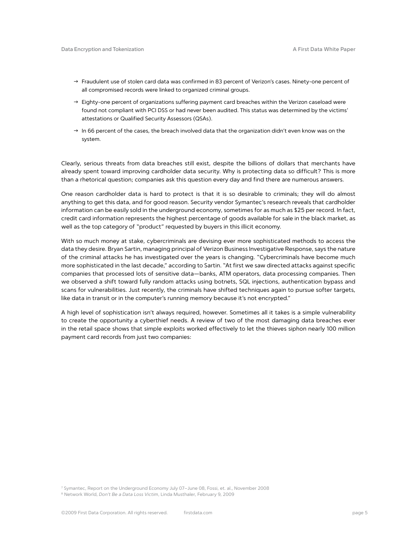- $\rightarrow$  Fraudulent use of stolen card data was confirmed in 83 percent of Verizon's cases. Ninety-one percent of all compromised records were linked to organized criminal groups.
- $\rightarrow$  Eighty-one percent of organizations suffering payment card breaches within the Verizon caseload were found not compliant with PCI DSS or had never been audited. This status was determined by the victims' attestations or Qualified Security Assessors (QSAs).
- $\rightarrow$  In 66 percent of the cases, the breach involved data that the organization didn't even know was on the system.

Clearly, serious threats from data breaches still exist, despite the billions of dollars that merchants have already spent toward improving cardholder data security. Why is protecting data so difficult? This is more than a rhetorical question; companies ask this question every day and find there are numerous answers.

One reason cardholder data is hard to protect is that it is so desirable to criminals; they will do almost anything to get this data, and for good reason. Security vendor Symantec's research reveals that cardholder information can be easily sold in the underground economy, sometimes for as much as \$25 per record. In fact, credit card information represents the highest percentage of goods available for sale in the black market, as well as the top category of "product" requested by buyers in this illicit economy.

With so much money at stake, cybercriminals are devising ever more sophisticated methods to access the data they desire. Bryan Sartin, managing principal of Verizon Business Investigative Response, says the nature of the criminal attacks he has investigated over the years is changing. "Cybercriminals have become much more sophisticated in the last decade," according to Sartin. "At first we saw directed attacks against specific companies that processed lots of sensitive data—banks, ATM operators, data processing companies. Then we observed a shift toward fully random attacks using botnets, SQL injections, authentication bypass and scans for vulnerabilities. Just recently, the criminals have shifted techniques again to pursue softer targets, like data in transit or in the computer's running memory because it's not encrypted."

A high level of sophistication isn't always required, however. Sometimes all it takes is a simple vulnerability to create the opportunity a cyberthief needs. A review of two of the most damaging data breaches ever in the retail space shows that simple exploits worked effectively to let the thieves siphon nearly 100 million payment card records from just two companies:

<sup>7</sup> Symantec, Report on the Underground Economy July 07–June 08, Fossi, et. al., November 2008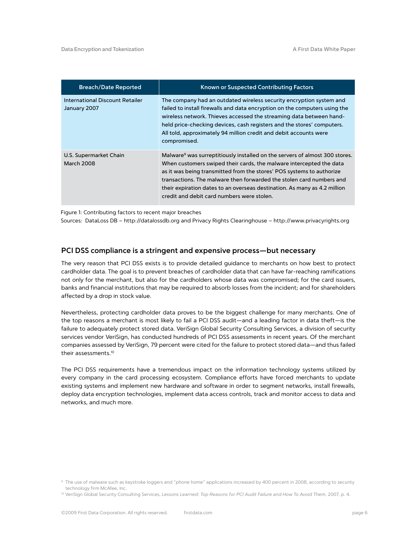| <b>Breach/Date Reported</b>                     | Known or Suspected Contributing Factors                                                                                                                                                                                                                                                                                                                                                                                                    |
|-------------------------------------------------|--------------------------------------------------------------------------------------------------------------------------------------------------------------------------------------------------------------------------------------------------------------------------------------------------------------------------------------------------------------------------------------------------------------------------------------------|
| International Discount Retailer<br>January 2007 | The company had an outdated wireless security encryption system and<br>failed to install firewalls and data encryption on the computers using the<br>wireless network. Thieves accessed the streaming data between hand-<br>held price-checking devices, cash registers and the stores' computers.<br>All told, approximately 94 million credit and debit accounts were<br>compromised.                                                    |
| U.S. Supermarket Chain<br><b>March 2008</b>     | Malware <sup>9</sup> was surreptitiously installed on the servers of almost 300 stores.<br>When customers swiped their cards, the malware intercepted the data<br>as it was being transmitted from the stores' POS systems to authorize<br>transactions. The malware then forwarded the stolen card numbers and<br>their expiration dates to an overseas destination. As many as 4.2 million<br>credit and debit card numbers were stolen. |

Figure 1: Contributing factors to recent major breaches

Sources: DataLoss DB – http://datalossdb.org and Privacy Rights Clearinghouse – http://www.privacyrights.org

### **PCI DSS compliance is a stringent and expensive process—but necessary**

The very reason that PCI DSS exists is to provide detailed guidance to merchants on how best to protect cardholder data. The goal is to prevent breaches of cardholder data that can have far-reaching ramifications not only for the merchant, but also for the cardholders whose data was compromised; for the card issuers, banks and financial institutions that may be required to absorb losses from the incident; and for shareholders affected by a drop in stock value.

Nevertheless, protecting cardholder data proves to be the biggest challenge for many merchants. One of the top reasons a merchant is most likely to fail a PCI DSS audit—and a leading factor in data theft—is the failure to adequately protect stored data. VeriSign Global Security Consulting Services, a division of security services vendor VeriSign, has conducted hundreds of PCI DSS assessments in recent years. Of the merchant companies assessed by VeriSign, 79 percent were cited for the failure to protect stored data—and thus failed their assessments.10

The PCI DSS requirements have a tremendous impact on the information technology systems utilized by every company in the card processing ecosystem. Compliance efforts have forced merchants to update existing systems and implement new hardware and software in order to segment networks, install firewalls, deploy data encryption technologies, implement data access controls, track and monitor access to data and networks, and much more.

<sup>9</sup> The use of malware such as keystroke loggers and "phone home" applications increased by 400 percent in 2008, according to security technology firm McAfee, Inc.

<sup>10</sup> VeriSign Global Security Consulting Services, *Lessons Learned: Top Reasons for PCI Audit Failure and How To Avoid Them*, 2007, p. 4.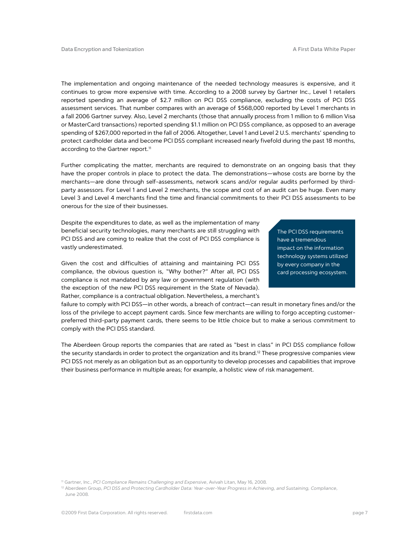The implementation and ongoing maintenance of the needed technology measures is expensive, and it continues to grow more expensive with time. According to a 2008 survey by Gartner Inc., Level 1 retailers reported spending an average of \$2.7 million on PCI DSS compliance, excluding the costs of PCI DSS assessment services. That number compares with an average of \$568,000 reported by Level 1 merchants in a fall 2006 Gartner survey. Also, Level 2 merchants (those that annually process from 1 million to 6 million Visa or MasterCard transactions) reported spending \$1.1 million on PCI DSS compliance, as opposed to an average spending of \$267,000 reported in the fall of 2006. Altogether, Level 1 and Level 2 U.S. merchants' spending to protect cardholder data and become PCI DSS compliant increased nearly fivefold during the past 18 months, according to the Gartner report.<sup>11</sup>

Further complicating the matter, merchants are required to demonstrate on an ongoing basis that they have the proper controls in place to protect the data. The demonstrations—whose costs are borne by the merchants—are done through self-assessments, network scans and/or regular audits performed by thirdparty assessors. For Level 1 and Level 2 merchants, the scope and cost of an audit can be huge. Even many Level 3 and Level 4 merchants find the time and financial commitments to their PCI DSS assessments to be onerous for the size of their businesses.

Despite the expenditures to date, as well as the implementation of many beneficial security technologies, many merchants are still struggling with PCI DSS and are coming to realize that the cost of PCI DSS compliance is vastly underestimated.

Given the cost and difficulties of attaining and maintaining PCI DSS compliance, the obvious question is, "Why bother?" After all, PCI DSS compliance is not mandated by any law or government regulation (with the exception of the new PCI DSS requirement in the State of Nevada). Rather, compliance is a contractual obligation. Nevertheless, a merchant's

The PCI DSS requirements have a tremendous impact on the information technology systems utilized by every company in the card processing ecosystem.

failure to comply with PCI DSS—in other words, a breach of contract—can result in monetary fines and/or the loss of the privilege to accept payment cards. Since few merchants are willing to forgo accepting customerpreferred third-party payment cards, there seems to be little choice but to make a serious commitment to comply with the PCI DSS standard.

The Aberdeen Group reports the companies that are rated as "best in class" in PCI DSS compliance follow the security standards in order to protect the organization and its brand.<sup>12</sup> These progressive companies view PCI DSS not merely as an obligation but as an opportunity to develop processes and capabilities that improve their business performance in multiple areas; for example, a holistic view of risk management.

<sup>11</sup> Gartner, Inc., *PCI Compliance Remains Challenging and Expensive*, Avivah Litan, May 16, 2008.

<sup>12</sup> Aberdeen Group, *PCI DSS and Protecting Cardholder Data: Year-over-Year Progress in Achieving, and Sustaining, Compliance*, June 2008.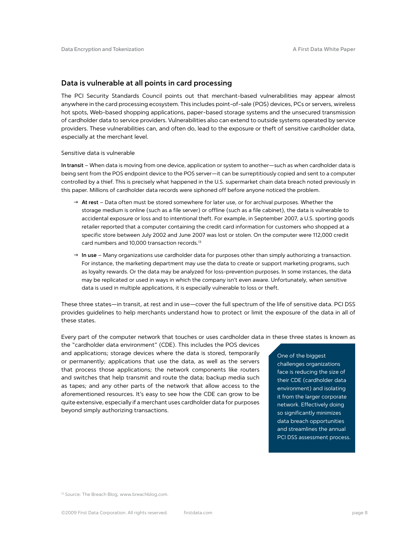## **Data is vulnerable at all points in card processing**

The PCI Security Standards Council points out that merchant-based vulnerabilities may appear almost anywhere in the card processing ecosystem. This includes point-of-sale (POS) devices, PCs or servers, wireless hot spots, Web-based shopping applications, paper-based storage systems and the unsecured transmission of cardholder data to service providers. Vulnerabilities also can extend to outside systems operated by service providers. These vulnerabilities can, and often do, lead to the exposure or theft of sensitive cardholder data, especially at the merchant level.

#### Sensitive data is vulnerable

**In transit** – When data is moving from one device, application or system to another—such as when cardholder data is being sent from the POS endpoint device to the POS server—it can be surreptitiously copied and sent to a computer controlled by a thief. This is precisely what happened in the U.S. supermarket chain data breach noted previously in this paper. Millions of cardholder data records were siphoned off before anyone noticed the problem.

- → At rest Data often must be stored somewhere for later use, or for archival purposes. Whether the storage medium is online (such as a file server) or offline (such as a file cabinet), the data is vulnerable to accidental exposure or loss and to intentional theft. For example, in September 2007, a U.S. sporting goods retailer reported that a computer containing the credit card information for customers who shopped at a specific store between July 2002 and June 2007 was lost or stolen. On the computer were 112,000 credit card numbers and 10,000 transaction records.13
- $\rightarrow$  In use Many organizations use cardholder data for purposes other than simply authorizing a transaction. For instance, the marketing department may use the data to create or support marketing programs, such as loyalty rewards. Or the data may be analyzed for loss-prevention purposes. In some instances, the data may be replicated or used in ways in which the company isn't even aware. Unfortunately, when sensitive data is used in multiple applications, it is especially vulnerable to loss or theft.

These three states—in transit, at rest and in use—cover the full spectrum of the life of sensitive data. PCI DSS provides guidelines to help merchants understand how to protect or limit the exposure of the data in all of these states.

Every part of the computer network that touches or uses cardholder data in these three states is known as

the "cardholder data environment" (CDE). This includes the POS devices and applications; storage devices where the data is stored, temporarily or permanently; applications that use the data, as well as the servers that process those applications; the network components like routers and switches that help transmit and route the data; backup media such as tapes; and any other parts of the network that allow access to the aforementioned resources. It's easy to see how the CDE can grow to be quite extensive, especially if a merchant uses cardholder data for purposes beyond simply authorizing transactions.

#### One of the biggest

challenges organizations face is reducing the size of their CDE (cardholder data environment) and isolating it from the larger corporate network. Effectively doing so significantly minimizes data breach opportunities and streamlines the annual PCI DSS assessment process.

<sup>&</sup>lt;sup>13</sup> Source: The Breach Blog, www.breachblog.com.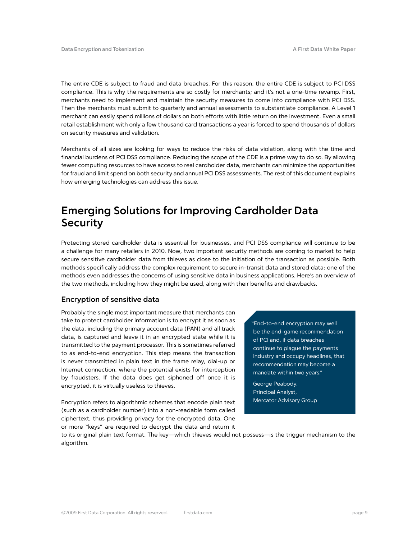The entire CDE is subject to fraud and data breaches. For this reason, the entire CDE is subject to PCI DSS compliance. This is why the requirements are so costly for merchants; and it's not a one-time revamp. First, merchants need to implement and maintain the security measures to come into compliance with PCI DSS. Then the merchants must submit to quarterly and annual assessments to substantiate compliance. A Level 1 merchant can easily spend millions of dollars on both efforts with little return on the investment. Even a small retail establishment with only a few thousand card transactions a year is forced to spend thousands of dollars on security measures and validation.

Merchants of all sizes are looking for ways to reduce the risks of data violation, along with the time and financial burdens of PCI DSS compliance. Reducing the scope of the CDE is a prime way to do so. By allowing fewer computing resources to have access to real cardholder data, merchants can minimize the opportunities for fraud and limit spend on both security and annual PCI DSS assessments. The rest of this document explains how emerging technologies can address this issue.

## **Emerging Solutions for Improving Cardholder Data Security**

Protecting stored cardholder data is essential for businesses, and PCI DSS compliance will continue to be a challenge for many retailers in 2010. Now, two important security methods are coming to market to help secure sensitive cardholder data from thieves as close to the initiation of the transaction as possible. Both methods specifically address the complex requirement to secure in-transit data and stored data; one of the methods even addresses the concerns of using sensitive data in business applications. Here's an overview of the two methods, including how they might be used, along with their benefits and drawbacks.

## **Encryption of sensitive data**

Probably the single most important measure that merchants can take to protect cardholder information is to encrypt it as soon as the data, including the primary account data (PAN) and all track data, is captured and leave it in an encrypted state while it is transmitted to the payment processor. This is sometimes referred to as end-to-end encryption. This step means the transaction is never transmitted in plain text in the frame relay, dial-up or Internet connection, where the potential exists for interception by fraudsters. If the data does get siphoned off once it is encrypted, it is virtually useless to thieves.

Encryption refers to algorithmic schemes that encode plain text (such as a cardholder number) into a non-readable form called ciphertext, thus providing privacy for the encrypted data. One or more "keys" are required to decrypt the data and return it

"End-to-end encryption may well be the end-game recommendation of PCI and, if data breaches continue to plague the payments industry and occupy headlines, that recommendation may become a mandate within two years."

George Peabody, Principal Analyst, Mercator Advisory Group

to its original plain text format. The key—which thieves would not possess—is the trigger mechanism to the algorithm.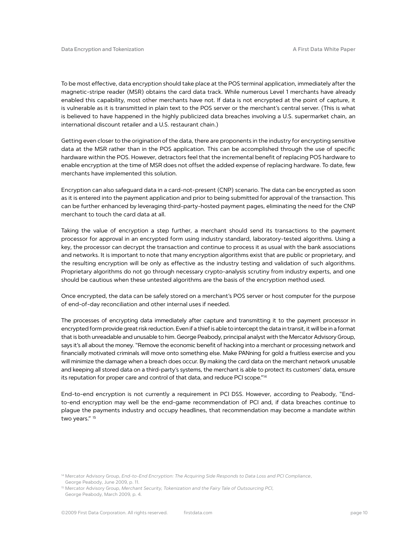To be most effective, data encryption should take place at the POS terminal application, immediately after the magnetic-stripe reader (MSR) obtains the card data track. While numerous Level 1 merchants have already enabled this capability, most other merchants have not. If data is not encrypted at the point of capture, it is vulnerable as it is transmitted in plain text to the POS server or the merchant's central server. (This is what is believed to have happened in the highly publicized data breaches involving a U.S. supermarket chain, an international discount retailer and a U.S. restaurant chain.)

Getting even closer to the origination of the data, there are proponents in the industry for encrypting sensitive data at the MSR rather than in the POS application. This can be accomplished through the use of specific hardware within the POS. However, detractors feel that the incremental benefit of replacing POS hardware to enable encryption at the time of MSR does not offset the added expense of replacing hardware. To date, few merchants have implemented this solution.

Encryption can also safeguard data in a card-not-present (CNP) scenario. The data can be encrypted as soon as it is entered into the payment application and prior to being submitted for approval of the transaction. This can be further enhanced by leveraging third-party-hosted payment pages, eliminating the need for the CNP merchant to touch the card data at all.

Taking the value of encryption a step further, a merchant should send its transactions to the payment processor for approval in an encrypted form using industry standard, laboratory-tested algorithms. Using a key, the processor can decrypt the transaction and continue to process it as usual with the bank associations and networks. It is important to note that many encryption algorithms exist that are public or proprietary, and the resulting encryption will be only as effective as the industry testing and validation of such algorithms. Proprietary algorithms do not go through necessary crypto-analysis scrutiny from industry experts, and one should be cautious when these untested algorithms are the basis of the encryption method used.

Once encrypted, the data can be safely stored on a merchant's POS server or host computer for the purpose of end-of-day reconciliation and other internal uses if needed.

The processes of encrypting data immediately after capture and transmitting it to the payment processor in encrypted form provide great risk reduction. Even if a thief is able to intercept the data in transit, it will be in a format that is both unreadable and unusable to him. George Peabody, principal analyst with the Mercator Advisory Group, says it's all about the money. "Remove the economic benefit of hacking into a merchant or processing network and financially motivated criminals will move onto something else. Make PANning for gold a fruitless exercise and you will minimize the damage when a breach does occur. By making the card data on the merchant network unusable and keeping all stored data on a third-party's systems, the merchant is able to protect its customers' data, ensure its reputation for proper care and control of that data, and reduce PCI scope."<sup>14</sup>

End-to-end encryption is not currently a requirement in PCI DSS. However, according to Peabody, "Endto-end encryption may well be the end-game recommendation of PCI and, if data breaches continue to plague the payments industry and occupy headlines, that recommendation may become a mandate within two years." 15

<sup>14</sup> Mercator Advisory Group, *End-to-End Encryption: The Acquiring Side Responds to Data Loss and PCI Compliance*,

George Peabody, June 2009, p. 11. <sup>15</sup> Mercator Advisory Group, *Merchant Security, Tokenization and the Fairy Tale of Outsourcing PCI*,

George Peabody, March 2009, p. 4.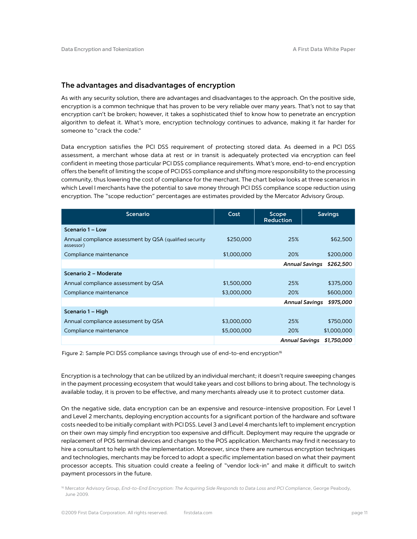### **The advantages and disadvantages of encryption**

As with any security solution, there are advantages and disadvantages to the approach. On the positive side, encryption is a common technique that has proven to be very reliable over many years. That's not to say that encryption can't be broken; however, it takes a sophisticated thief to know how to penetrate an encryption algorithm to defeat it. What's more, encryption technology continues to advance, making it far harder for someone to "crack the code."

Data encryption satisfies the PCI DSS requirement of protecting stored data. As deemed in a PCI DSS assessment, a merchant whose data at rest or in transit is adequately protected via encryption can feel confident in meeting those particular PCI DSS compliance requirements. What's more, end-to-end encryption offers the benefit of limiting the scope of PCI DSS compliance and shifting more responsibility to the processing community, thus lowering the cost of compliance for the merchant. The chart below looks at three scenarios in which Level I merchants have the potential to save money through PCI DSS compliance scope reduction using encryption. The "scope reduction" percentages are estimates provided by the Mercator Advisory Group.

| <b>Scenario</b>                                                      | Cost        | Scope<br><b>Reduction</b> | <b>Savings</b>                     |
|----------------------------------------------------------------------|-------------|---------------------------|------------------------------------|
| Scenario 1 - Low                                                     |             |                           |                                    |
| Annual compliance assessment by QSA (qualified security<br>assessor) | \$250,000   | 25%                       | \$62,500                           |
| Compliance maintenance                                               | \$1,000,000 | 20%                       | \$200,000                          |
|                                                                      |             | <b>Annual Savings</b>     | \$262,500                          |
| Scenario 2 - Moderate                                                |             |                           |                                    |
| Annual compliance assessment by QSA                                  | \$1,500,000 | 25%                       | \$375,000                          |
| Compliance maintenance                                               | \$3,000,000 | 20%                       | \$600,000                          |
|                                                                      |             |                           | <b>Annual Savings</b><br>\$975,000 |
| Scenario 1 – High                                                    |             |                           |                                    |
| Annual compliance assessment by QSA                                  | \$3,000,000 | 25%                       | \$750,000                          |
| Compliance maintenance                                               | \$5,000,000 | 20%                       | \$1,000,000                        |
|                                                                      |             | <b>Annual Savings</b>     | \$1,750,000                        |

Figure 2: Sample PCI DSS compliance savings through use of end-to-end encryption<sup>16</sup>

Encryption is a technology that can be utilized by an individual merchant; it doesn't require sweeping changes in the payment processing ecosystem that would take years and cost billions to bring about. The technology is available today, it is proven to be effective, and many merchants already use it to protect customer data.

On the negative side, data encryption can be an expensive and resource-intensive proposition. For Level 1 and Level 2 merchants, deploying encryption accounts for a significant portion of the hardware and software costs needed to be initially compliant with PCI DSS. Level 3 and Level 4 merchants left to implement encryption on their own may simply find encryption too expensive and difficult. Deployment may require the upgrade or replacement of POS terminal devices and changes to the POS application. Merchants may find it necessary to hire a consultant to help with the implementation. Moreover, since there are numerous encryption techniques and technologies, merchants may be forced to adopt a specific implementation based on what their payment processor accepts. This situation could create a feeling of "vendor lock-in" and make it difficult to switch payment processors in the future.

<sup>16</sup> Mercator Advisory Group, End-to-End Encryption: The Acquiring Side Responds to Data Loss and PCI Compliance, George Peabody, June 2009.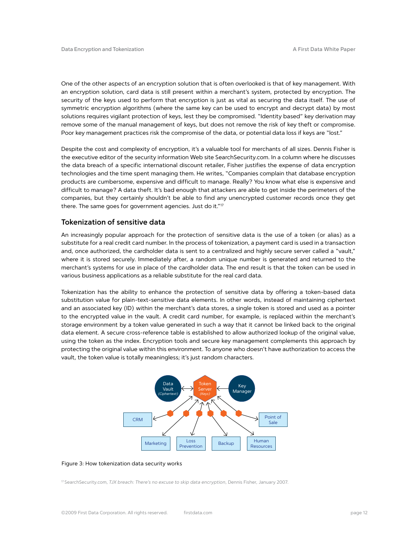One of the other aspects of an encryption solution that is often overlooked is that of key management. With an encryption solution, card data is still present within a merchant's system, protected by encryption. The security of the keys used to perform that encryption is just as vital as securing the data itself. The use of symmetric encryption algorithms (where the same key can be used to encrypt and decrypt data) by most solutions requires vigilant protection of keys, lest they be compromised. "Identity based" key derivation may remove some of the manual management of keys, but does not remove the risk of key theft or compromise. Poor key management practices risk the compromise of the data, or potential data loss if keys are "lost."

Despite the cost and complexity of encryption, it's a valuable tool for merchants of all sizes. Dennis Fisher is the executive editor of the security information Web site SearchSecurity.com. In a column where he discusses the data breach of a specific international discount retailer, Fisher justifies the expense of data encryption technologies and the time spent managing them. He writes, "Companies complain that database encryption products are cumbersome, expensive and difficult to manage. Really? You know what else is expensive and difficult to manage? A data theft. It's bad enough that attackers are able to get inside the perimeters of the companies, but they certainly shouldn't be able to find any unencrypted customer records once they get there. The same goes for government agencies. Just do it."17

## **Tokenization of sensitive data**

An increasingly popular approach for the protection of sensitive data is the use of a token (or alias) as a substitute for a real credit card number. In the process of tokenization, a payment card is used in a transaction and, once authorized, the cardholder data is sent to a centralized and highly secure server called a "vault," where it is stored securely. Immediately after, a random unique number is generated and returned to the merchant's systems for use in place of the cardholder data. The end result is that the token can be used in various business applications as a reliable substitute for the real card data.

Tokenization has the ability to enhance the protection of sensitive data by offering a token-based data substitution value for plain-text-sensitive data elements. In other words, instead of maintaining ciphertext and an associated key (ID) within the merchant's data stores, a single token is stored and used as a pointer to the encrypted value in the vault. A credit card number, for example, is replaced within the merchant's storage environment by a token value generated in such a way that it cannot be linked back to the original data element. A secure cross-reference table is established to allow authorized lookup of the original value, using the token as the index. Encryption tools and secure key management complements this approach by protecting the original value within this environment. To anyone who doesn't have authorization to access the vault, the token value is totally meaningless; it's just random characters.



#### Figure 3: How tokenization data security works

17 SearchSecurity.com, *TJX breach: There's no excuse to skip data encryption*, Dennis Fisher, January 2007.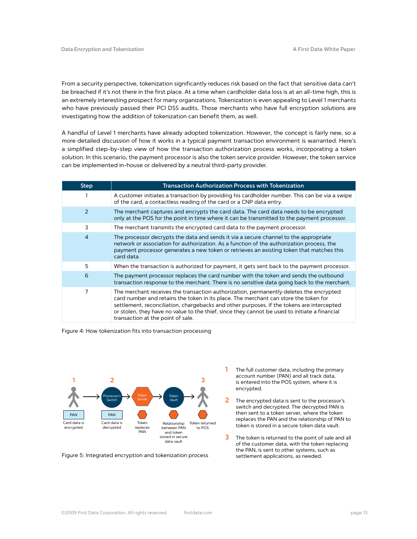From a security perspective, tokenization significantly reduces risk based on the fact that sensitive data can't be breached if it's not there in the first place. At a time when cardholder data loss is at an all-time high, this is an extremely interesting prospect for many organizations. Tokenization is even appealing to Level 1 merchants who have previously passed their PCI DSS audits. Those merchants who have full encryption solutions are investigating how the addition of tokenization can benefit them, as well.

A handful of Level 1 merchants have already adopted tokenization. However, the concept is fairly new, so a more detailed discussion of how it works in a typical payment transaction environment is warranted. Here's a simplified step-by-step view of how the transaction authorization process works, incorporating a token solution. In this scenario, the payment processor is also the token service provider. However, the token service can be implemented in-house or delivered by a neutral third-party provider.

| <b>Step</b>    | <b>Transaction Authorization Process with Tokenization</b>                                                                                                                                                                                                                                                                                                                                                        |
|----------------|-------------------------------------------------------------------------------------------------------------------------------------------------------------------------------------------------------------------------------------------------------------------------------------------------------------------------------------------------------------------------------------------------------------------|
|                | A customer initiates a transaction by providing his cardholder number. This can be via a swipe<br>of the card, a contactless reading of the card or a CNP data entry.                                                                                                                                                                                                                                             |
| 2              | The merchant captures and encrypts the card data. The card data needs to be encrypted<br>only at the POS for the point in time where it can be transmitted to the payment processor.                                                                                                                                                                                                                              |
| 3              | The merchant transmits the encrypted card data to the payment processor.                                                                                                                                                                                                                                                                                                                                          |
| $\overline{4}$ | The processor decrypts the data and sends it via a secure channel to the appropriate<br>network or association for authorization. As a function of the authorization process, the<br>payment processor generates a new token or retrieves an existing token that matches this<br>card data.                                                                                                                       |
| 5              | When the transaction is authorized for payment, it gets sent back to the payment processor.                                                                                                                                                                                                                                                                                                                       |
| 6              | The payment processor replaces the card number with the token and sends the outbound<br>transaction response to the merchant. There is no sensitive data going back to the merchant.                                                                                                                                                                                                                              |
| 7              | The merchant receives the transaction authorization, permanently deletes the encrypted<br>card number and retains the token in its place. The merchant can store the token for<br>settlement, reconciliation, chargebacks and other purposes. If the tokens are intercepted<br>or stolen, they have no value to the thief, since they cannot be used to initiate a financial<br>transaction at the point of sale. |

Figure 4: How tokenization fits into transaction processing



Figure 5: Integrated encryption and tokenization process

- **1** The full customer data, including the primary account number (PAN) and all track data, is entered into the POS system, where it is encrypted.
- **2** The encrypted data is sent to the processor's switch and decrypted. The decrypted PAN is then sent to a token server, where the token replaces the PAN and the relationship of PAN to token is stored in a secure token data vault.
- **3** The token is returned to the point of sale and all of the customer data, with the token replacing the PAN, is sent to other systems, such as settlement applications, as needed.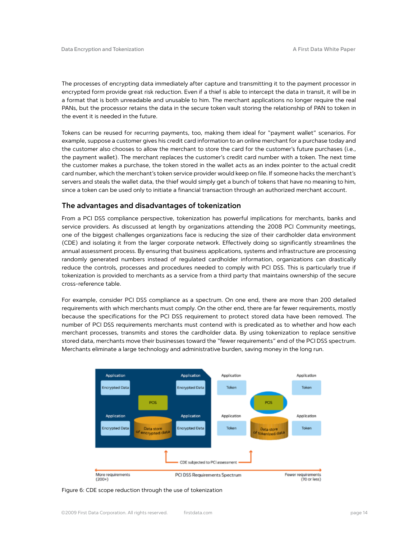The processes of encrypting data immediately after capture and transmitting it to the payment processor in encrypted form provide great risk reduction. Even if a thief is able to intercept the data in transit, it will be in a format that is both unreadable and unusable to him. The merchant applications no longer require the real PANs, but the processor retains the data in the secure token vault storing the relationship of PAN to token in the event it is needed in the future.

Tokens can be reused for recurring payments, too, making them ideal for "payment wallet" scenarios. For example, suppose a customer gives his credit card information to an online merchant for a purchase today and the customer also chooses to allow the merchant to store the card for the customer's future purchases (i.e., the payment wallet). The merchant replaces the customer's credit card number with a token. The next time the customer makes a purchase, the token stored in the wallet acts as an index pointer to the actual credit card number, which the merchant's token service provider would keep on file. If someone hacks the merchant's servers and steals the wallet data, the thief would simply get a bunch of tokens that have no meaning to him, since a token can be used only to initiate a financial transaction through an authorized merchant account.

## **The advantages and disadvantages of tokenization**

From a PCI DSS compliance perspective, tokenization has powerful implications for merchants, banks and service providers. As discussed at length by organizations attending the 2008 PCI Community meetings, one of the biggest challenges organizations face is reducing the size of their cardholder data environment (CDE) and isolating it from the larger corporate network. Effectively doing so significantly streamlines the annual assessment process. By ensuring that business applications, systems and infrastructure are processing randomly generated numbers instead of regulated cardholder information, organizations can drastically reduce the controls, processes and procedures needed to comply with PCI DSS. This is particularly true if tokenization is provided to merchants as a service from a third party that maintains ownership of the secure cross-reference table.

For example, consider PCI DSS compliance as a spectrum. On one end, there are more than 200 detailed requirements with which merchants must comply. On the other end, there are far fewer requirements, mostly because the specifications for the PCI DSS requirement to protect stored data have been removed. The number of PCI DSS requirements merchants must contend with is predicated as to whether and how each merchant processes, transmits and stores the cardholder data. By using tokenization to replace sensitive stored data, merchants move their businesses toward the "fewer requirements" end of the PCI DSS spectrum. Merchants eliminate a large technology and administrative burden, saving money in the long run.



Figure 6: CDE scope reduction through the use of tokenization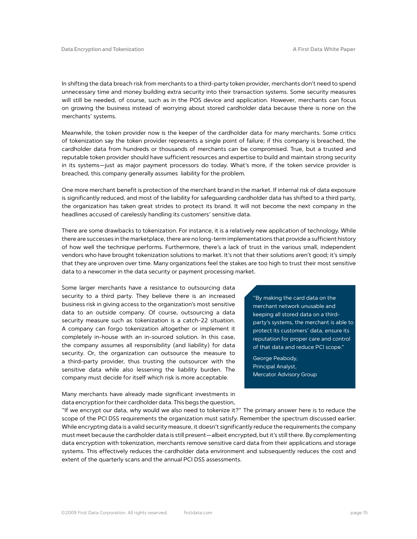In shifting the data breach risk from merchants to a third-party token provider, merchants don't need to spend unnecessary time and money building extra security into their transaction systems. Some security measures will still be needed, of course, such as in the POS device and application. However, merchants can focus on growing the business instead of worrying about stored cardholder data because there is none on the merchants' systems.

Meanwhile, the token provider now is the keeper of the cardholder data for many merchants. Some critics of tokenization say the token provider represents a single point of failure; if this company is breached, the cardholder data from hundreds or thousands of merchants can be compromised. True, but a trusted and reputable token provider should have sufficient resources and expertise to build and maintain strong security in its systems—just as major payment processors do today. What's more, if the token service provider is breached, this company generally assumes liability for the problem.

One more merchant benefit is protection of the merchant brand in the market. If internal risk of data exposure is significantly reduced, and most of the liability for safeguarding cardholder data has shifted to a third party, the organization has taken great strides to protect its brand. It will not become the next company in the headlines accused of carelessly handling its customers' sensitive data.

There are some drawbacks to tokenization. For instance, it is a relatively new application of technology. While there are successes in the marketplace, there are no long-term implementations that provide a sufficient history of how well the technique performs. Furthermore, there's a lack of trust in the various small, independent vendors who have brought tokenization solutions to market. It's not that their solutions aren't good; it's simply that they are unproven over time. Many organizations feel the stakes are too high to trust their most sensitive data to a newcomer in the data security or payment processing market.

Some larger merchants have a resistance to outsourcing data security to a third party. They believe there is an increased business risk in giving access to the organization's most sensitive data to an outside company. Of course, outsourcing a data security measure such as tokenization is a catch-22 situation. A company can forgo tokenization altogether or implement it completely in-house with an in-sourced solution. In this case, the company assumes all responsibility (and liability) for data security. Or, the organization can outsource the measure to a third-party provider, thus trusting the outsourcer with the sensitive data while also lessening the liability burden. The company must decide for itself which risk is more acceptable.

Many merchants have already made significant investments in data encryption for their cardholder data. This begs the question,

"By making the card data on the merchant network unusable and keeping all stored data on a thirdparty's systems, the merchant is able to protect its customers' data, ensure its reputation for proper care and control of that data and reduce PCI scope."

George Peabody, Principal Analyst, Mercator Advisory Group

"If we encrypt our data, why would we also need to tokenize it?" The primary answer here is to reduce the scope of the PCI DSS requirements the organization must satisfy. Remember the spectrum discussed earlier. While encrypting data is a valid security measure, it doesn't significantly reduce the requirements the company must meet because the cardholder data is still present—albeit encrypted, but it's still there. By complementing data encryption with tokenization, merchants remove sensitive card data from their applications and storage systems. This effectively reduces the cardholder data environment and subsequently reduces the cost and extent of the quarterly scans and the annual PCI DSS assessments.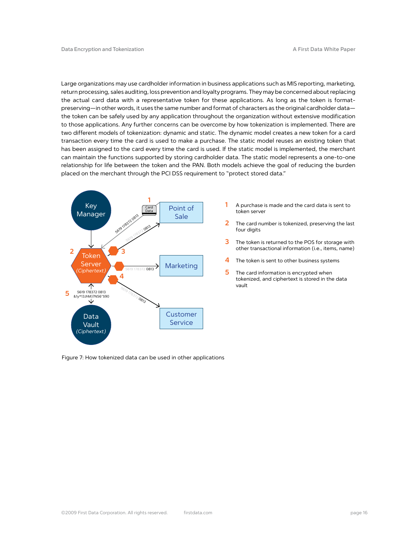Large organizations may use cardholder information in business applications such as MIS reporting, marketing, return processing, sales auditing, loss prevention and loyalty programs. They may be concerned about replacing the actual card data with a representative token for these applications. As long as the token is formatpreserving—in other words, it uses the same number and format of characters as the original cardholder data the token can be safely used by any application throughout the organization without extensive modification to those applications. Any further concerns can be overcome by how tokenization is implemented. There are two different models of tokenization: dynamic and static. The dynamic model creates a new token for a card transaction every time the card is used to make a purchase. The static model reuses an existing token that has been assigned to the card every time the card is used. If the static model is implemented, the merchant can maintain the functions supported by storing cardholder data. The static model represents a one-to-one relationship for life between the token and the PAN. Both models achieve the goal of reducing the burden placed on the merchant through the PCI DSS requirement to "protect stored data."



Figure 7: How tokenized data can be used in other applications

- **1** A purchase is made and the card data is sent to token server
- **2** The card number is tokenized, preserving the last four digits
- **3** The token is returned to the POS for storage with other transactional information (i.e., items, name)
- **4** The token is sent to other business systems
- **5** The card information is encrypted when tokenized, and ciphertext is stored in the data vault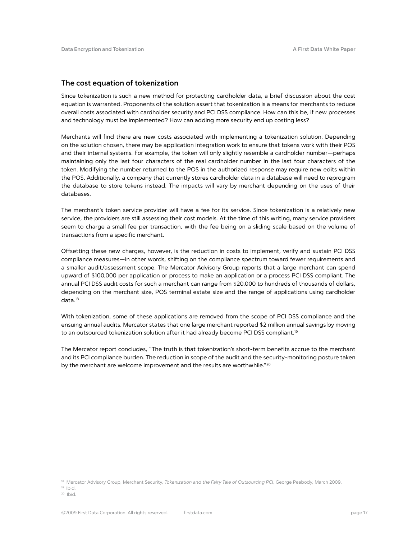## **The cost equation of tokenization**

Since tokenization is such a new method for protecting cardholder data, a brief discussion about the cost equation is warranted. Proponents of the solution assert that tokenization is a means for merchants to reduce overall costs associated with cardholder security and PCI DSS compliance. How can this be, if new processes and technology must be implemented? How can adding more security end up costing less?

Merchants will find there are new costs associated with implementing a tokenization solution. Depending on the solution chosen, there may be application integration work to ensure that tokens work with their POS and their internal systems. For example, the token will only slightly resemble a cardholder number—perhaps maintaining only the last four characters of the real cardholder number in the last four characters of the token. Modifying the number returned to the POS in the authorized response may require new edits within the POS. Additionally, a company that currently stores cardholder data in a database will need to reprogram the database to store tokens instead. The impacts will vary by merchant depending on the uses of their databases.

The merchant's token service provider will have a fee for its service. Since tokenization is a relatively new service, the providers are still assessing their cost models. At the time of this writing, many service providers seem to charge a small fee per transaction, with the fee being on a sliding scale based on the volume of transactions from a specific merchant.

Offsetting these new charges, however, is the reduction in costs to implement, verify and sustain PCI DSS compliance measures—in other words, shifting on the compliance spectrum toward fewer requirements and a smaller audit/assessment scope. The Mercator Advisory Group reports that a large merchant can spend upward of \$100,000 per application or process to make an application or a process PCI DSS compliant. The annual PCI DSS audit costs for such a merchant can range from \$20,000 to hundreds of thousands of dollars, depending on the merchant size, POS terminal estate size and the range of applications using cardholder data.18

With tokenization, some of these applications are removed from the scope of PCI DSS compliance and the ensuing annual audits. Mercator states that one large merchant reported \$2 million annual savings by moving to an outsourced tokenization solution after it had already become PCI DSS compliant.<sup>19</sup>

The Mercator report concludes, "The truth is that tokenization's short-term benefits accrue to the merchant and its PCI compliance burden. The reduction in scope of the audit and the security-monitoring posture taken by the merchant are welcome improvement and the results are worthwhile."<sup>20</sup>

19 Ibid.

<sup>&</sup>lt;sup>18</sup> Mercator Advisory Group, Merchant Security, *Tokenization and the Fairy Tale of Outsourcing PCI*, George Peabody, March 2009.

<sup>20</sup> Ibid.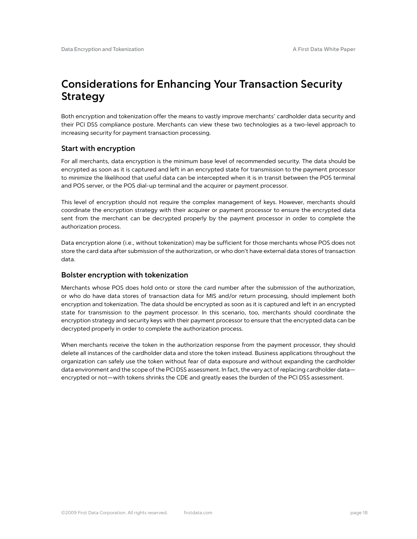# **Considerations for Enhancing Your Transaction Security Strategy**

Both encryption and tokenization offer the means to vastly improve merchants' cardholder data security and their PCI DSS compliance posture. Merchants can view these two technologies as a two-level approach to increasing security for payment transaction processing.

## **Start with encryption**

For all merchants, data encryption is the minimum base level of recommended security. The data should be encrypted as soon as it is captured and left in an encrypted state for transmission to the payment processor to minimize the likelihood that useful data can be intercepted when it is in transit between the POS terminal and POS server, or the POS dial-up terminal and the acquirer or payment processor.

This level of encryption should not require the complex management of keys. However, merchants should coordinate the encryption strategy with their acquirer or payment processor to ensure the encrypted data sent from the merchant can be decrypted properly by the payment processor in order to complete the authorization process.

Data encryption alone (i.e., without tokenization) may be sufficient for those merchants whose POS does not store the card data after submission of the authorization, or who don't have external data stores of transaction data.

## **Bolster encryption with tokenization**

Merchants whose POS does hold onto or store the card number after the submission of the authorization, or who do have data stores of transaction data for MIS and/or return processing, should implement both encryption and tokenization. The data should be encrypted as soon as it is captured and left in an encrypted state for transmission to the payment processor. In this scenario, too, merchants should coordinate the encryption strategy and security keys with their payment processor to ensure that the encrypted data can be decrypted properly in order to complete the authorization process.

When merchants receive the token in the authorization response from the payment processor, they should delete all instances of the cardholder data and store the token instead. Business applications throughout the organization can safely use the token without fear of data exposure and without expanding the cardholder data environment and the scope of the PCI DSS assessment. In fact, the very act of replacing cardholder data encrypted or not—with tokens shrinks the CDE and greatly eases the burden of the PCI DSS assessment.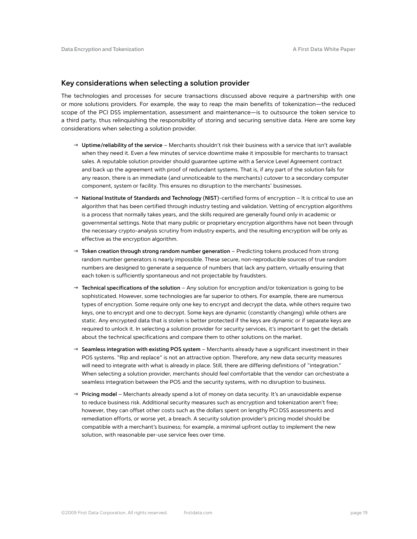### **Key considerations when selecting a solution provider**

The technologies and processes for secure transactions discussed above require a partnership with one or more solutions providers. For example, the way to reap the main benefits of tokenization—the reduced scope of the PCI DSS implementation, assessment and maintenance—is to outsource the token service to a third party, thus relinquishing the responsibility of storing and securing sensitive data. Here are some key considerations when selecting a solution provider.

- → Uptime/reliability of the service Merchants shouldn't risk their business with a service that isn't available when they need it. Even a few minutes of service downtime make it impossible for merchants to transact sales. A reputable solution provider should guarantee uptime with a Service Level Agreement contract and back up the agreement with proof of redundant systems. That is, if any part of the solution fails for any reason, there is an immediate (and unnoticeable to the merchants) cutover to a secondary computer component, system or facility. This ensures no disruption to the merchants' businesses.
- → National Institute of Standards and Technology (NIST)-certified forms of encryption It is critical to use an algorithm that has been certified through industry testing and validation. Vetting of encryption algorithms is a process that normally takes years, and the skills required are generally found only in academic or governmental settings. Note that many public or proprietary encryption algorithms have not been through the necessary crypto-analysis scrutiny from industry experts, and the resulting encryption will be only as effective as the encryption algorithm.
- → Token creation through strong random number generation Predicting tokens produced from strong random number generators is nearly impossible. These secure, non-reproducible sources of true random numbers are designed to generate a sequence of numbers that lack any pattern, virtually ensuring that each token is sufficiently spontaneous and not projectable by fraudsters.
- → **Technical specifications of the solution** Any solution for encryption and/or tokenization is going to be sophisticated. However, some technologies are far superior to others. For example, there are numerous types of encryption. Some require only one key to encrypt and decrypt the data, while others require two keys, one to encrypt and one to decrypt. Some keys are dynamic (constantly changing) while others are static. Any encrypted data that is stolen is better protected if the keys are dynamic or if separate keys are required to unlock it. In selecting a solution provider for security services, it's important to get the details about the technical specifications and compare them to other solutions on the market.
- $\rightarrow$  **Seamless integration with existing POS system** Merchants already have a significant investment in their POS systems. "Rip and replace" is not an attractive option. Therefore, any new data security measures will need to integrate with what is already in place. Still, there are differing definitions of "integration." When selecting a solution provider, merchants should feel comfortable that the vendor can orchestrate a seamless integration between the POS and the security systems, with no disruption to business.
- → **Pricing model** Merchants already spend a lot of money on data security. It's an unavoidable expense to reduce business risk. Additional security measures such as encryption and tokenization aren't free; however, they can offset other costs such as the dollars spent on lengthy PCI DSS assessments and remediation efforts, or worse yet, a breach. A security solution provider's pricing model should be compatible with a merchant's business; for example, a minimal upfront outlay to implement the new solution, with reasonable per-use service fees over time.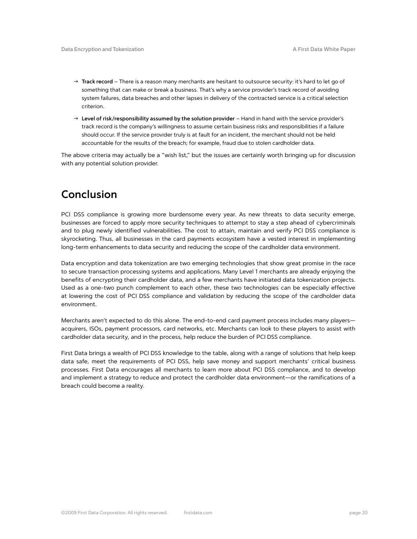- → Track record There is a reason many merchants are hesitant to outsource security: it's hard to let go of something that can make or break a business. That's why a service provider's track record of avoiding system failures, data breaches and other lapses in delivery of the contracted service is a critical selection criterion.
- → Level of risk/responsibility assumed by the solution provider Hand in hand with the service provider's track record is the company's willingness to assume certain business risks and responsibilities if a failure should occur. If the service provider truly is at fault for an incident, the merchant should not be held accountable for the results of the breach; for example, fraud due to stolen cardholder data.

The above criteria may actually be a "wish list," but the issues are certainly worth bringing up for discussion with any potential solution provider.

## **Conclusion**

PCI DSS compliance is growing more burdensome every year. As new threats to data security emerge, businesses are forced to apply more security techniques to attempt to stay a step ahead of cybercriminals and to plug newly identified vulnerabilities. The cost to attain, maintain and verify PCI DSS compliance is skyrocketing. Thus, all businesses in the card payments ecosystem have a vested interest in implementing long-term enhancements to data security and reducing the scope of the cardholder data environment.

Data encryption and data tokenization are two emerging technologies that show great promise in the race to secure transaction processing systems and applications. Many Level 1 merchants are already enjoying the benefits of encrypting their cardholder data, and a few merchants have initiated data tokenization projects. Used as a one-two punch complement to each other, these two technologies can be especially effective at lowering the cost of PCI DSS compliance and validation by reducing the scope of the cardholder data environment.

Merchants aren't expected to do this alone. The end-to-end card payment process includes many players acquirers, ISOs, payment processors, card networks, etc. Merchants can look to these players to assist with cardholder data security, and in the process, help reduce the burden of PCI DSS compliance.

First Data brings a wealth of PCI DSS knowledge to the table, along with a range of solutions that help keep data safe, meet the requirements of PCI DSS, help save money and support merchants' critical business processes. First Data encourages all merchants to learn more about PCI DSS compliance, and to develop and implement a strategy to reduce and protect the cardholder data environment—or the ramifications of a breach could become a reality.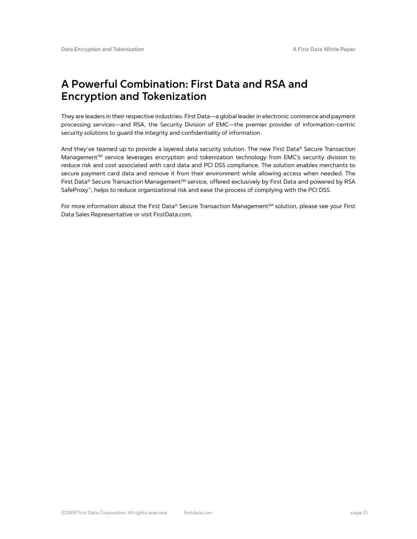## **A Powerful Combination: First Data and RSA and Encryption and Tokenization**

They are leaders in their respective industries: First Data—a global leader in electronic commerce and payment processing services—and RSA, the Security Division of EMC—the premier provider of information-centric security solutions to guard the integrity and confidentiality of information.

And they've teamed up to provide a layered data security solution. The new First Data® Secure Transaction Management<sup>SM</sup> service leverages encryption and tokenization technology from EMC's security division to reduce risk and cost associated with card data and PCI DSS compliance. The solution enables merchants to secure payment card data and remove it from their environment while allowing access when needed. The First Data® Secure Transaction Management<sup>sM</sup> service, offered exclusively by First Data and powered by RSA SafeProxy™, helps to reduce organizational risk and ease the process of complying with the PCI DSS.

For more information about the First Data® Secure Transaction Management<sup>5M</sup> solution, please see your First Data Sales Representative or visit FirstData.com.